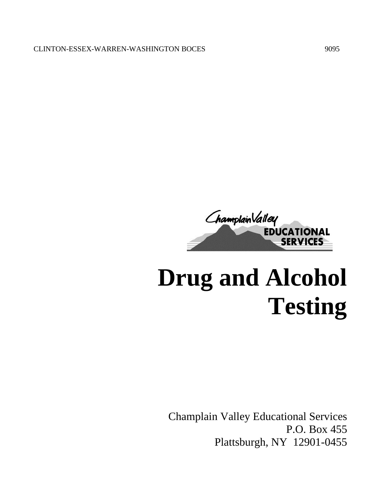

# **Drug and Alcohol Testing**

Champlain Valley Educational Services P.O. Box 455 Plattsburgh, NY 12901-0455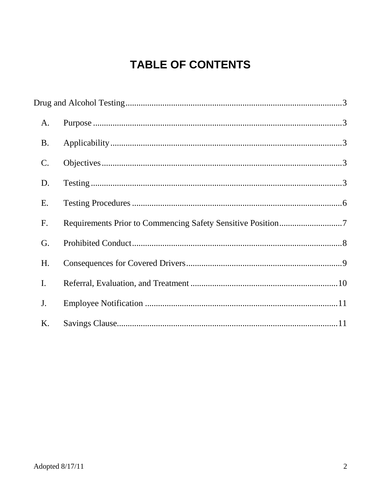# **TABLE OF CONTENTS**

| A.             |  |  |
|----------------|--|--|
| <b>B.</b>      |  |  |
| $\mathbf{C}$ . |  |  |
| D.             |  |  |
| Ε.             |  |  |
| F.             |  |  |
| G.             |  |  |
| H.             |  |  |
| I.             |  |  |
| J.             |  |  |
| K.             |  |  |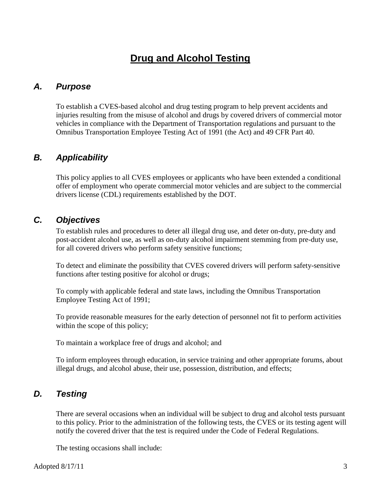# **Drug and Alcohol Testing**

# <span id="page-2-1"></span><span id="page-2-0"></span>*A. Purpose*

To establish a CVES-based alcohol and drug testing program to help prevent accidents and injuries resulting from the misuse of alcohol and drugs by covered drivers of commercial motor vehicles in compliance with the Department of Transportation regulations and pursuant to the Omnibus Transportation Employee Testing Act of 1991 (the Act) and 49 CFR Part 40.

# <span id="page-2-2"></span>*B. Applicability*

This policy applies to all CVES employees or applicants who have been extended a conditional offer of employment who operate commercial motor vehicles and are subject to the commercial drivers license (CDL) requirements established by the DOT.

## <span id="page-2-3"></span>*C. Objectives*

To establish rules and procedures to deter all illegal drug use, and deter on-duty, pre-duty and post-accident alcohol use, as well as on-duty alcohol impairment stemming from pre-duty use, for all covered drivers who perform safety sensitive functions;

To detect and eliminate the possibility that CVES covered drivers will perform safety-sensitive functions after testing positive for alcohol or drugs;

To comply with applicable federal and state laws, including the Omnibus Transportation Employee Testing Act of 1991;

To provide reasonable measures for the early detection of personnel not fit to perform activities within the scope of this policy;

To maintain a workplace free of drugs and alcohol; and

To inform employees through education, in service training and other appropriate forums, about illegal drugs, and alcohol abuse, their use, possession, distribution, and effects;

## <span id="page-2-4"></span>*D. Testing*

There are several occasions when an individual will be subject to drug and alcohol tests pursuant to this policy. Prior to the administration of the following tests, the CVES or its testing agent will notify the covered driver that the test is required under the Code of Federal Regulations.

The testing occasions shall include: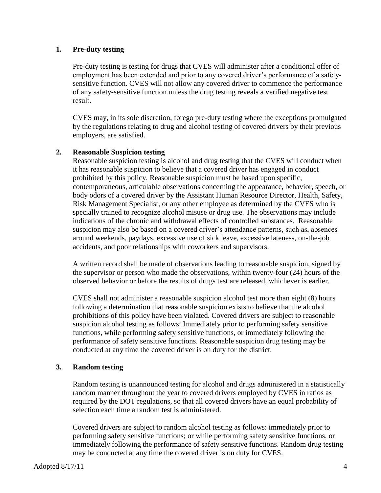#### **1. Pre-duty testing**

Pre-duty testing is testing for drugs that CVES will administer after a conditional offer of employment has been extended and prior to any covered driver's performance of a safetysensitive function. CVES will not allow any covered driver to commence the performance of any safety-sensitive function unless the drug testing reveals a verified negative test result.

CVES may, in its sole discretion, forego pre-duty testing where the exceptions promulgated by the regulations relating to drug and alcohol testing of covered drivers by their previous employers, are satisfied.

#### **2. Reasonable Suspicion testing**

Reasonable suspicion testing is alcohol and drug testing that the CVES will conduct when it has reasonable suspicion to believe that a covered driver has engaged in conduct prohibited by this policy. Reasonable suspicion must be based upon specific, contemporaneous, articulable observations concerning the appearance, behavior, speech, or body odors of a covered driver by the Assistant Human Resource Director, Health, Safety, Risk Management Specialist, or any other employee as determined by the CVES who is specially trained to recognize alcohol misuse or drug use. The observations may include indications of the chronic and withdrawal effects of controlled substances. Reasonable suspicion may also be based on a covered driver's attendance patterns, such as, absences around weekends, paydays, excessive use of sick leave, excessive lateness, on-the-job accidents, and poor relationships with coworkers and supervisors.

A written record shall be made of observations leading to reasonable suspicion, signed by the supervisor or person who made the observations, within twenty-four (24) hours of the observed behavior or before the results of drugs test are released, whichever is earlier.

CVES shall not administer a reasonable suspicion alcohol test more than eight (8) hours following a determination that reasonable suspicion exists to believe that the alcohol prohibitions of this policy have been violated. Covered drivers are subject to reasonable suspicion alcohol testing as follows: Immediately prior to performing safety sensitive functions, while performing safety sensitive functions, or immediately following the performance of safety sensitive functions. Reasonable suspicion drug testing may be conducted at any time the covered driver is on duty for the district.

#### **3. Random testing**

Random testing is unannounced testing for alcohol and drugs administered in a statistically random manner throughout the year to covered drivers employed by CVES in ratios as required by the DOT regulations, so that all covered drivers have an equal probability of selection each time a random test is administered.

Covered drivers are subject to random alcohol testing as follows: immediately prior to performing safety sensitive functions; or while performing safety sensitive functions, or immediately following the performance of safety sensitive functions. Random drug testing may be conducted at any time the covered driver is on duty for CVES.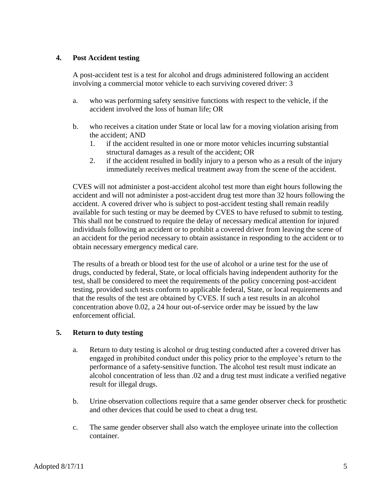#### **4. Post Accident testing**

A post-accident test is a test for alcohol and drugs administered following an accident involving a commercial motor vehicle to each surviving covered driver: 3

- a. who was performing safety sensitive functions with respect to the vehicle, if the accident involved the loss of human life; OR
- b. who receives a citation under State or local law for a moving violation arising from the accident; AND
	- 1. if the accident resulted in one or more motor vehicles incurring substantial structural damages as a result of the accident; OR
	- 2. if the accident resulted in bodily injury to a person who as a result of the injury immediately receives medical treatment away from the scene of the accident.

CVES will not administer a post-accident alcohol test more than eight hours following the accident and will not administer a post-accident drug test more than 32 hours following the accident. A covered driver who is subject to post-accident testing shall remain readily available for such testing or may be deemed by CVES to have refused to submit to testing. This shall not be construed to require the delay of necessary medical attention for injured individuals following an accident or to prohibit a covered driver from leaving the scene of an accident for the period necessary to obtain assistance in responding to the accident or to obtain necessary emergency medical care.

The results of a breath or blood test for the use of alcohol or a urine test for the use of drugs, conducted by federal, State, or local officials having independent authority for the test, shall be considered to meet the requirements of the policy concerning post-accident testing, provided such tests conform to applicable federal, State, or local requirements and that the results of the test are obtained by CVES. If such a test results in an alcohol concentration above 0.02, a 24 hour out-of-service order may be issued by the law enforcement official.

#### **5. Return to duty testing**

- a. Return to duty testing is alcohol or drug testing conducted after a covered driver has engaged in prohibited conduct under this policy prior to the employee's return to the performance of a safety-sensitive function. The alcohol test result must indicate an alcohol concentration of less than .02 and a drug test must indicate a verified negative result for illegal drugs.
- b. Urine observation collections require that a same gender observer check for prosthetic and other devices that could be used to cheat a drug test.
- c. The same gender observer shall also watch the employee urinate into the collection container.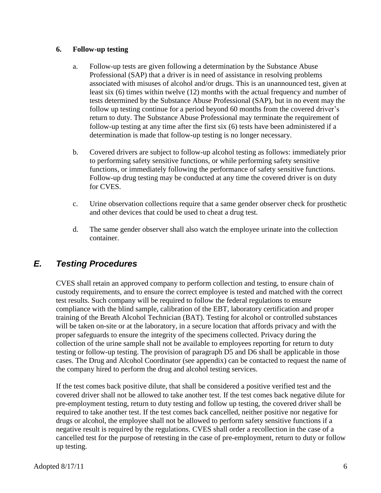#### **6. Follow-up testing**

- a. Follow-up tests are given following a determination by the Substance Abuse Professional (SAP) that a driver is in need of assistance in resolving problems associated with misuses of alcohol and/or drugs. This is an unannounced test, given at least six (6) times within twelve (12) months with the actual frequency and number of tests determined by the Substance Abuse Professional (SAP), but in no event may the follow up testing continue for a period beyond 60 months from the covered driver's return to duty. The Substance Abuse Professional may terminate the requirement of follow-up testing at any time after the first six (6) tests have been administered if a determination is made that follow-up testing is no longer necessary.
- b. Covered drivers are subject to follow-up alcohol testing as follows: immediately prior to performing safety sensitive functions, or while performing safety sensitive functions, or immediately following the performance of safety sensitive functions. Follow-up drug testing may be conducted at any time the covered driver is on duty for CVES.
- c. Urine observation collections require that a same gender observer check for prosthetic and other devices that could be used to cheat a drug test.
- d. The same gender observer shall also watch the employee urinate into the collection container.

# <span id="page-5-0"></span>*E. Testing Procedures*

CVES shall retain an approved company to perform collection and testing, to ensure chain of custody requirements, and to ensure the correct employee is tested and matched with the correct test results. Such company will be required to follow the federal regulations to ensure compliance with the blind sample, calibration of the EBT, laboratory certification and proper training of the Breath Alcohol Technician (BAT). Testing for alcohol or controlled substances will be taken on-site or at the laboratory, in a secure location that affords privacy and with the proper safeguards to ensure the integrity of the specimens collected. Privacy during the collection of the urine sample shall not be available to employees reporting for return to duty testing or follow-up testing. The provision of paragraph D5 and D6 shall be applicable in those cases. The Drug and Alcohol Coordinator (see appendix) can be contacted to request the name of the company hired to perform the drug and alcohol testing services.

If the test comes back positive dilute, that shall be considered a positive verified test and the covered driver shall not be allowed to take another test. If the test comes back negative dilute for pre-employment testing, return to duty testing and follow up testing, the covered driver shall be required to take another test. If the test comes back cancelled, neither positive nor negative for drugs or alcohol, the employee shall not be allowed to perform safety sensitive functions if a negative result is required by the regulations. CVES shall order a recollection in the case of a cancelled test for the purpose of retesting in the case of pre-employment, return to duty or follow up testing.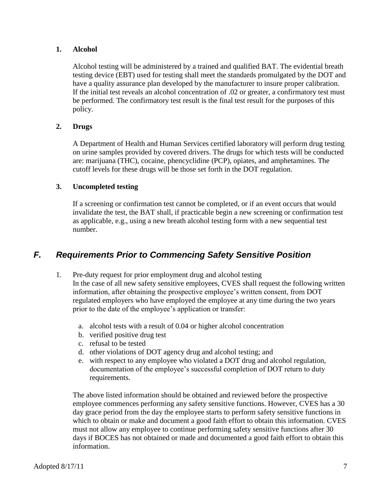#### **1. Alcohol**

Alcohol testing will be administered by a trained and qualified BAT. The evidential breath testing device (EBT) used for testing shall meet the standards promulgated by the DOT and have a quality assurance plan developed by the manufacturer to insure proper calibration. If the initial test reveals an alcohol concentration of .02 or greater, a confirmatory test must be performed. The confirmatory test result is the final test result for the purposes of this policy.

#### **2. Drugs**

A Department of Health and Human Services certified laboratory will perform drug testing on urine samples provided by covered drivers. The drugs for which tests will be conducted are: marijuana (THC), cocaine, phencyclidine (PCP), opiates, and amphetamines. The cutoff levels for these drugs will be those set forth in the DOT regulation.

#### **3. Uncompleted testing**

If a screening or confirmation test cannot be completed, or if an event occurs that would invalidate the test, the BAT shall, if practicable begin a new screening or confirmation test as applicable, e.g., using a new breath alcohol testing form with a new sequential test number.

## <span id="page-6-0"></span>*F. Requirements Prior to Commencing Safety Sensitive Position*

- 1. Pre-duty request for prior employment drug and alcohol testing In the case of all new safety sensitive employees, CVES shall request the following written information, after obtaining the prospective employee's written consent, from DOT regulated employers who have employed the employee at any time during the two years prior to the date of the employee's application or transfer:
	- a. alcohol tests with a result of 0.04 or higher alcohol concentration
	- b. verified positive drug test
	- c. refusal to be tested
	- d. other violations of DOT agency drug and alcohol testing; and
	- e. with respect to any employee who violated a DOT drug and alcohol regulation, documentation of the employee's successful completion of DOT return to duty requirements.

The above listed information should be obtained and reviewed before the prospective employee commences performing any safety sensitive functions. However, CVES has a 30 day grace period from the day the employee starts to perform safety sensitive functions in which to obtain or make and document a good faith effort to obtain this information. CVES must not allow any employee to continue performing safety sensitive functions after 30 days if BOCES has not obtained or made and documented a good faith effort to obtain this information.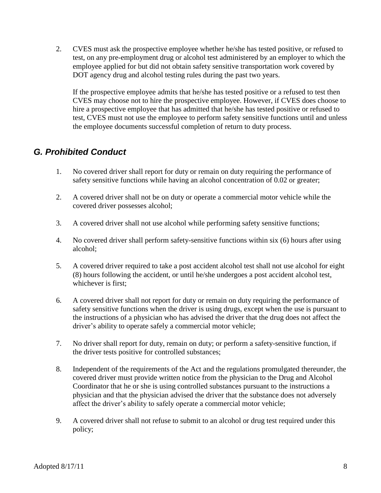2. CVES must ask the prospective employee whether he/she has tested positive, or refused to test, on any pre-employment drug or alcohol test administered by an employer to which the employee applied for but did not obtain safety sensitive transportation work covered by DOT agency drug and alcohol testing rules during the past two years.

If the prospective employee admits that he/she has tested positive or a refused to test then CVES may choose not to hire the prospective employee. However, if CVES does choose to hire a prospective employee that has admitted that he/she has tested positive or refused to test, CVES must not use the employee to perform safety sensitive functions until and unless the employee documents successful completion of return to duty process.

# <span id="page-7-0"></span>*G. Prohibited Conduct*

- 1. No covered driver shall report for duty or remain on duty requiring the performance of safety sensitive functions while having an alcohol concentration of 0.02 or greater;
- 2. A covered driver shall not be on duty or operate a commercial motor vehicle while the covered driver possesses alcohol;
- 3. A covered driver shall not use alcohol while performing safety sensitive functions;
- 4. No covered driver shall perform safety-sensitive functions within six (6) hours after using alcohol;
- 5. A covered driver required to take a post accident alcohol test shall not use alcohol for eight (8) hours following the accident, or until he/she undergoes a post accident alcohol test, whichever is first;
- 6. A covered driver shall not report for duty or remain on duty requiring the performance of safety sensitive functions when the driver is using drugs, except when the use is pursuant to the instructions of a physician who has advised the driver that the drug does not affect the driver's ability to operate safely a commercial motor vehicle;
- 7. No driver shall report for duty, remain on duty; or perform a safety-sensitive function, if the driver tests positive for controlled substances;
- 8. Independent of the requirements of the Act and the regulations promulgated thereunder, the covered driver must provide written notice from the physician to the Drug and Alcohol Coordinator that he or she is using controlled substances pursuant to the instructions a physician and that the physician advised the driver that the substance does not adversely affect the driver's ability to safely operate a commercial motor vehicle;
- 9. A covered driver shall not refuse to submit to an alcohol or drug test required under this policy;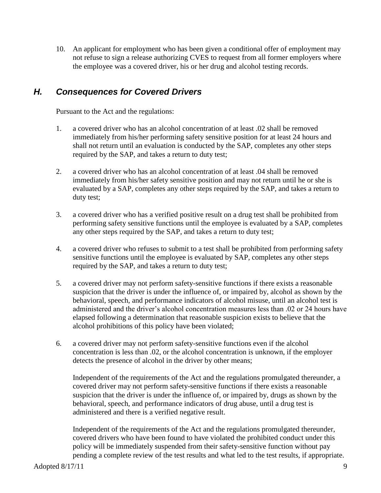10. An applicant for employment who has been given a conditional offer of employment may not refuse to sign a release authorizing CVES to request from all former employers where the employee was a covered driver, his or her drug and alcohol testing records.

# <span id="page-8-0"></span>*H. Consequences for Covered Drivers*

Pursuant to the Act and the regulations:

- 1. a covered driver who has an alcohol concentration of at least .02 shall be removed immediately from his/her performing safety sensitive position for at least 24 hours and shall not return until an evaluation is conducted by the SAP, completes any other steps required by the SAP, and takes a return to duty test;
- 2. a covered driver who has an alcohol concentration of at least .04 shall be removed immediately from his/her safety sensitive position and may not return until he or she is evaluated by a SAP, completes any other steps required by the SAP, and takes a return to duty test;
- 3. a covered driver who has a verified positive result on a drug test shall be prohibited from performing safety sensitive functions until the employee is evaluated by a SAP, completes any other steps required by the SAP, and takes a return to duty test;
- 4. a covered driver who refuses to submit to a test shall be prohibited from performing safety sensitive functions until the employee is evaluated by SAP, completes any other steps required by the SAP, and takes a return to duty test;
- 5. a covered driver may not perform safety-sensitive functions if there exists a reasonable suspicion that the driver is under the influence of, or impaired by, alcohol as shown by the behavioral, speech, and performance indicators of alcohol misuse, until an alcohol test is administered and the driver's alcohol concentration measures less than .02 or 24 hours have elapsed following a determination that reasonable suspicion exists to believe that the alcohol prohibitions of this policy have been violated;
- 6. a covered driver may not perform safety-sensitive functions even if the alcohol concentration is less than .02, or the alcohol concentration is unknown, if the employer detects the presence of alcohol in the driver by other means;

Independent of the requirements of the Act and the regulations promulgated thereunder, a covered driver may not perform safety-sensitive functions if there exists a reasonable suspicion that the driver is under the influence of, or impaired by, drugs as shown by the behavioral, speech, and performance indicators of drug abuse, until a drug test is administered and there is a verified negative result.

Independent of the requirements of the Act and the regulations promulgated thereunder, covered drivers who have been found to have violated the prohibited conduct under this policy will be immediately suspended from their safety-sensitive function without pay pending a complete review of the test results and what led to the test results, if appropriate.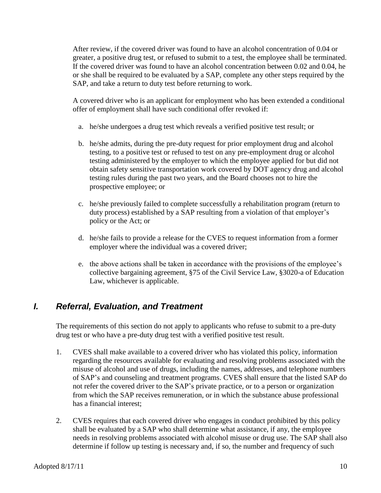After review, if the covered driver was found to have an alcohol concentration of 0.04 or greater, a positive drug test, or refused to submit to a test, the employee shall be terminated. If the covered driver was found to have an alcohol concentration between 0.02 and 0.04, he or she shall be required to be evaluated by a SAP, complete any other steps required by the SAP, and take a return to duty test before returning to work.

A covered driver who is an applicant for employment who has been extended a conditional offer of employment shall have such conditional offer revoked if:

- a. he/she undergoes a drug test which reveals a verified positive test result; or
- b. he/she admits, during the pre-duty request for prior employment drug and alcohol testing, to a positive test or refused to test on any pre-employment drug or alcohol testing administered by the employer to which the employee applied for but did not obtain safety sensitive transportation work covered by DOT agency drug and alcohol testing rules during the past two years, and the Board chooses not to hire the prospective employee; or
- c. he/she previously failed to complete successfully a rehabilitation program (return to duty process) established by a SAP resulting from a violation of that employer's policy or the Act; or
- d. he/she fails to provide a release for the CVES to request information from a former employer where the individual was a covered driver;
- e. the above actions shall be taken in accordance with the provisions of the employee's collective bargaining agreement, §75 of the Civil Service Law, §3020-a of Education Law, whichever is applicable.

# <span id="page-9-0"></span>*I. Referral, Evaluation, and Treatment*

The requirements of this section do not apply to applicants who refuse to submit to a pre-duty drug test or who have a pre-duty drug test with a verified positive test result.

- 1. CVES shall make available to a covered driver who has violated this policy, information regarding the resources available for evaluating and resolving problems associated with the misuse of alcohol and use of drugs, including the names, addresses, and telephone numbers of SAP's and counseling and treatment programs. CVES shall ensure that the listed SAP do not refer the covered driver to the SAP's private practice, or to a person or organization from which the SAP receives remuneration, or in which the substance abuse professional has a financial interest;
- 2. CVES requires that each covered driver who engages in conduct prohibited by this policy shall be evaluated by a SAP who shall determine what assistance, if any, the employee needs in resolving problems associated with alcohol misuse or drug use. The SAP shall also determine if follow up testing is necessary and, if so, the number and frequency of such